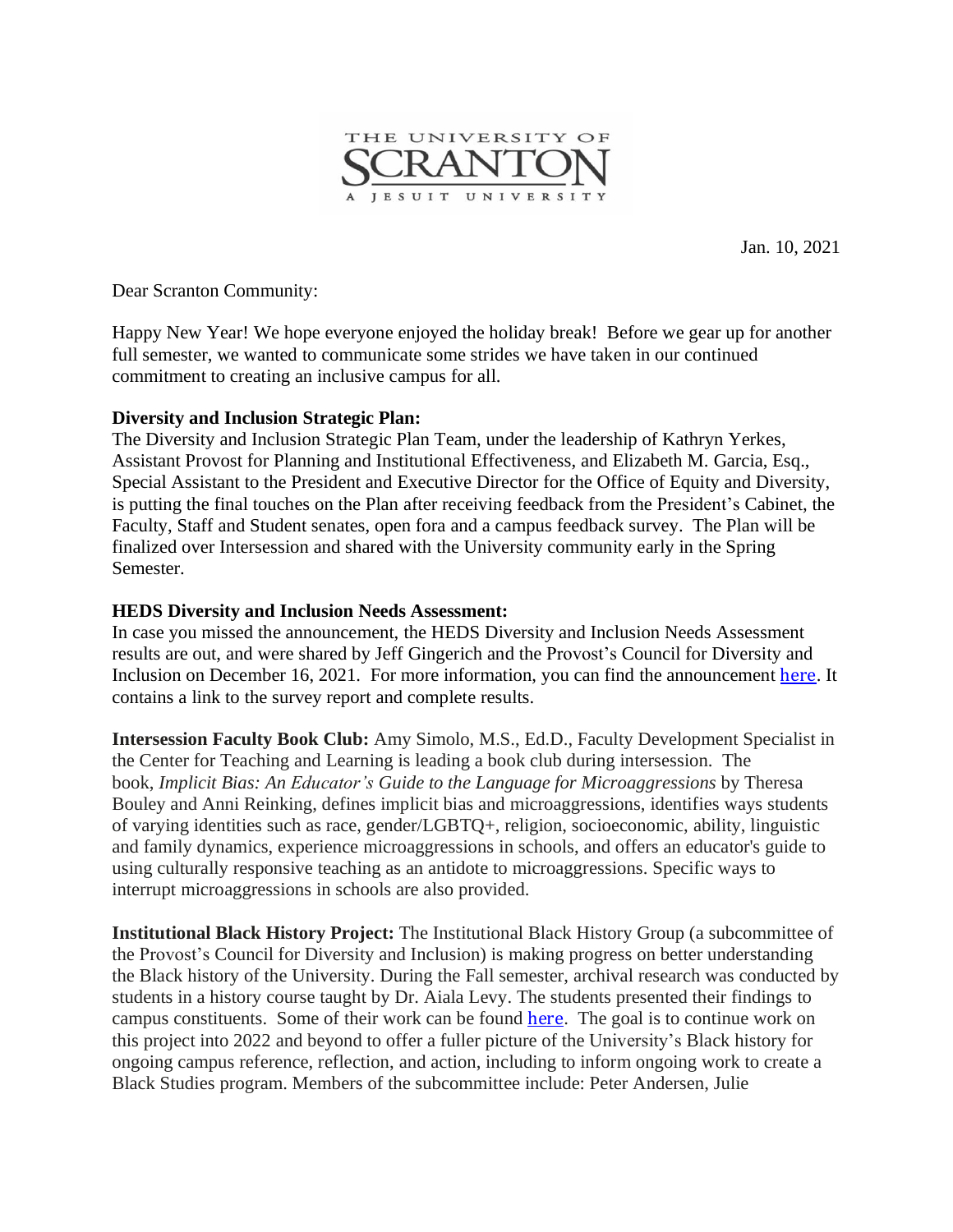

Jan. 10, 2021

Dear Scranton Community:

Happy New Year! We hope everyone enjoyed the holiday break! Before we gear up for another full semester, we wanted to communicate some strides we have taken in our continued commitment to creating an inclusive campus for all.

## **Diversity and Inclusion Strategic Plan:**

The Diversity and Inclusion Strategic Plan Team, under the leadership of Kathryn Yerkes, Assistant Provost for Planning and Institutional Effectiveness, and Elizabeth M. Garcia, Esq., Special Assistant to the President and Executive Director for the Office of Equity and Diversity, is putting the final touches on the Plan after receiving feedback from the President's Cabinet, the Faculty, Staff and Student senates, open fora and a campus feedback survey. The Plan will be finalized over Intersession and shared with the University community early in the Spring Semester.

## **HEDS Diversity and Inclusion Needs Assessment:**

In case you missed the announcement, the HEDS Diversity and Inclusion Needs Assessment results are out, and were shared by Jeff Gingerich and the Provost's Council for Diversity and Inclusion on December 16, 2021. For more information, you can find the announcement [here](https://www.scranton.edu/about/diversity-inclusion/assets/documents/12-16-21-diversity-equity-campus-climate-survey.pdf). It contains a link to the survey report and complete results.

**Intersession Faculty Book Club:** Amy Simolo, M.S., Ed.D., Faculty Development Specialist in the Center for Teaching and Learning is leading a book club during intersession. The book, *Implicit Bias: An Educator's Guide to the Language for Microaggressions* by Theresa Bouley and Anni Reinking, defines implicit bias and microaggressions, identifies ways students of varying identities such as race, gender/LGBTQ+, religion, socioeconomic, ability, linguistic and family dynamics, experience microaggressions in schools, and offers an educator's guide to using culturally responsive teaching as an antidote to microaggressions. Specific ways to interrupt microaggressions in schools are also provided.

**Institutional Black History Project:** The Institutional Black History Group (a subcommittee of the Provost's Council for Diversity and Inclusion) is making progress on better understanding the Black history of the University. During the Fall semester, archival research was conducted by students in a history course taught by Dr. Aiala Levy. The students presented their findings to campus constituents. Some of their work can be found [here](https://digitalprojects.scranton.edu/s/hist190/page/home). The goal is to continue work on this project into 2022 and beyond to offer a fuller picture of the University's Black history for ongoing campus reference, reflection, and action, including to inform ongoing work to create a Black Studies program. Members of the subcommittee include: Peter Andersen, Julie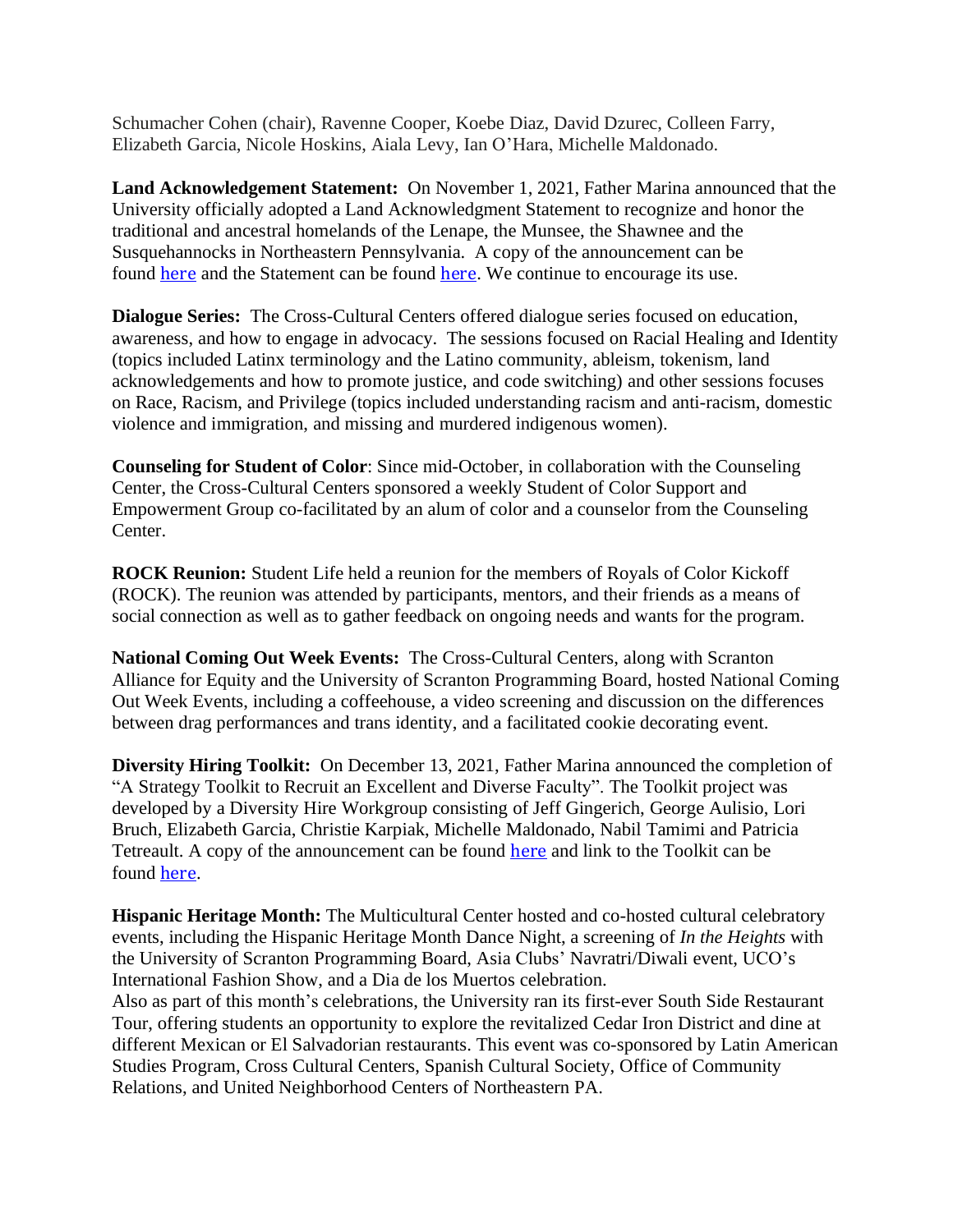Schumacher Cohen (chair), Ravenne Cooper, Koebe Diaz, David Dzurec, Colleen Farry, Elizabeth Garcia, Nicole Hoskins, Aiala Levy, Ian O'Hara, Michelle Maldonado.

**Land Acknowledgement Statement:** On November 1, 2021, Father Marina announced that the University officially adopted a Land Acknowledgment Statement to recognize and honor the traditional and ancestral homelands of the Lenape, the Munsee, the Shawnee and the Susquehannocks in Northeastern Pennsylvania. A copy of the announcement can be found [here](https://www.scranton.edu/equity-diversity/indigenous-land-acknowledgement.shtml) and the Statement can be found here. We continue to encourage its use.

**Dialogue Series:** The Cross-Cultural Centers offered dialogue series focused on education, awareness, and how to engage in advocacy. The sessions focused on Racial Healing and Identity (topics included Latinx terminology and the Latino community, ableism, tokenism, land acknowledgements and how to promote justice, and code switching) and other sessions focuses on Race, Racism, and Privilege (topics included understanding racism and anti-racism, domestic violence and immigration, and missing and murdered indigenous women).

**Counseling for Student of Color**: Since mid-October, in collaboration with the Counseling Center, the Cross-Cultural Centers sponsored a weekly Student of Color Support and Empowerment Group co-facilitated by an alum of color and a counselor from the Counseling Center.

**ROCK Reunion:** Student Life held a reunion for the members of Royals of Color Kickoff (ROCK). The reunion was attended by participants, mentors, and their friends as a means of social connection as well as to gather feedback on ongoing needs and wants for the program.

**National Coming Out Week Events:** The Cross-Cultural Centers, along with Scranton Alliance for Equity and the University of Scranton Programming Board, hosted National Coming Out Week Events, including a coffeehouse, a video screening and discussion on the differences between drag performances and trans identity, and a facilitated cookie decorating event.

**Diversity Hiring Toolkit:** On December 13, 2021, Father Marina announced the completion of "A Strategy Toolkit to Recruit an Excellent and Diverse Faculty". The Toolkit project was developed by a Diversity Hire Workgroup consisting of Jeff Gingerich, George Aulisio, Lori Bruch, Elizabeth Garcia, Christie Karpiak, Michelle Maldonado, Nabil Tamimi and Patricia Tetreault. A copy of the announcement can be found [here](https://www.scranton.edu/about/diversity-inclusion/assets/documents/12-13-21-toolkit-to-recruit-diverse-faculty.pdf) and link to the Toolkit can be found [here](https://www.scranton.edu/equity-diversity/recruitment-strategy-toolkit-11-2021.pdf).

**Hispanic Heritage Month:** The Multicultural Center hosted and co-hosted cultural celebratory events, including the Hispanic Heritage Month Dance Night, a screening of *In the Heights* with the University of Scranton Programming Board, Asia Clubs' Navratri/Diwali event, UCO's International Fashion Show, and a Dia de los Muertos celebration.

Also as part of this month's celebrations, the University ran its first-ever South Side Restaurant Tour, offering students an opportunity to explore the revitalized Cedar Iron District and dine at different Mexican or El Salvadorian restaurants. This event was co-sponsored by Latin American Studies Program, Cross Cultural Centers, Spanish Cultural Society, Office of Community Relations, and United Neighborhood Centers of Northeastern PA.